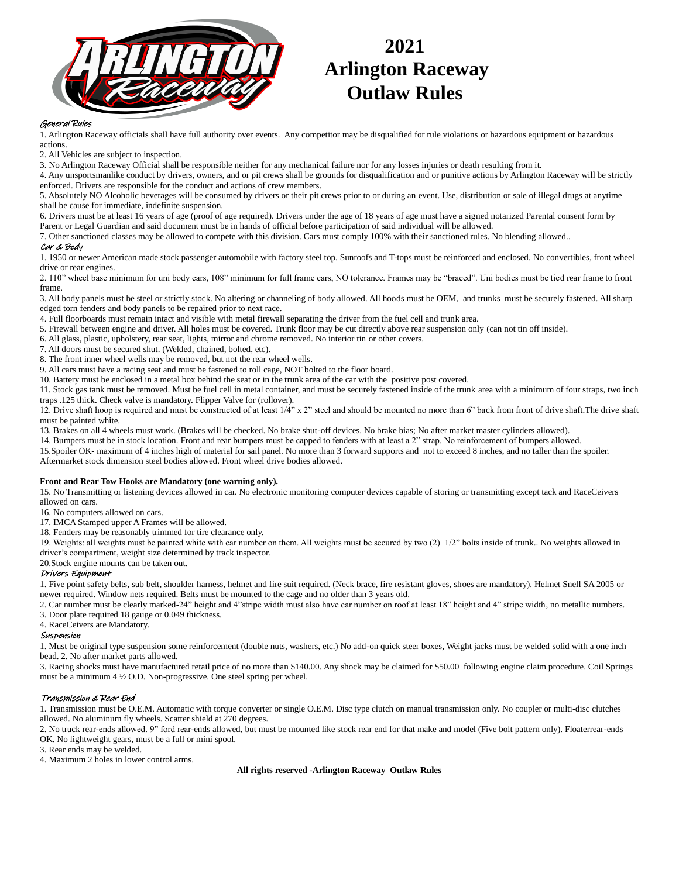

# **2021 Arlington Raceway Outlaw Rules**

# General Rules

1. Arlington Raceway officials shall have full authority over events. Any competitor may be disqualified for rule violations or hazardous equipment or hazardous actions.

2. All Vehicles are subject to inspection.

3. No Arlington Raceway Official shall be responsible neither for any mechanical failure nor for any losses injuries or death resulting from it.

4. Any unsportsmanlike conduct by drivers, owners, and or pit crews shall be grounds for disqualification and or punitive actions by Arlington Raceway will be strictly enforced. Drivers are responsible for the conduct and actions of crew members.

5. Absolutely NO Alcoholic beverages will be consumed by drivers or their pit crews prior to or during an event. Use, distribution or sale of illegal drugs at anytime shall be cause for immediate, indefinite suspension.

6. Drivers must be at least 16 years of age (proof of age required). Drivers under the age of 18 years of age must have a signed notarized Parental consent form by Parent or Legal Guardian and said document must be in hands of official before participation of said individual will be allowed.

7. Other sanctioned classes may be allowed to compete with this division. Cars must comply 100% with their sanctioned rules. No blending allowed..

# Car & Body

1. 1950 or newer American made stock passenger automobile with factory steel top. Sunroofs and T-tops must be reinforced and enclosed. No convertibles, front wheel drive or rear engines.

2. 110" wheel base minimum for uni body cars, 108" minimum for full frame cars, NO tolerance. Frames may be "braced". Uni bodies must be tied rear frame to front frame.

3. All body panels must be steel or strictly stock. No altering or channeling of body allowed. All hoods must be OEM, and trunks must be securely fastened. All sharp edged torn fenders and body panels to be repaired prior to next race.

4. Full floorboards must remain intact and visible with metal firewall separating the driver from the fuel cell and trunk area.

5. Firewall between engine and driver. All holes must be covered. Trunk floor may be cut directly above rear suspension only (can not tin off inside).

6. All glass, plastic, upholstery, rear seat, lights, mirror and chrome removed. No interior tin or other covers.

7. All doors must be secured shut. (Welded, chained, bolted, etc).

8. The front inner wheel wells may be removed, but not the rear wheel wells.

9. All cars must have a racing seat and must be fastened to roll cage, NOT bolted to the floor board.

10. Battery must be enclosed in a metal box behind the seat or in the trunk area of the car with the positive post covered.

11. Stock gas tank must be removed. Must be fuel cell in metal container, and must be securely fastened inside of the trunk area with a minimum of four straps, two inch traps .125 thick. Check valve is mandatory. Flipper Valve for (rollover).

12. Drive shaft hoop is required and must be constructed of at least 1/4" x 2" steel and should be mounted no more than 6" back from front of drive shaft. The drive shaft must be painted white.

13. Brakes on all 4 wheels must work. (Brakes will be checked. No brake shut-off devices. No brake bias; No after market master cylinders allowed).

14. Bumpers must be in stock location. Front and rear bumpers must be capped to fenders with at least a 2" strap. No reinforcement of bumpers allowed.

15.Spoiler OK- maximum of 4 inches high of material for sail panel. No more than 3 forward supports and not to exceed 8 inches, and no taller than the spoiler. Aftermarket stock dimension steel bodies allowed. Front wheel drive bodies allowed.

#### **Front and Rear Tow Hooks are Mandatory (one warning only).**

15. No Transmitting or listening devices allowed in car. No electronic monitoring computer devices capable of storing or transmitting except tack and RaceCeivers allowed on cars.

16. No computers allowed on cars.

17. IMCA Stamped upper A Frames will be allowed.

18. Fenders may be reasonably trimmed for tire clearance only.

19. Weights: all weights must be painted white with car number on them. All weights must be secured by two (2)  $1/2$ " bolts inside of trunk.. No weights allowed in driver's compartment, weight size determined by track inspector.

# 20.Stock engine mounts can be taken out.

# Drivers Equipment

1. Five point safety belts, sub belt, shoulder harness, helmet and fire suit required. (Neck brace, fire resistant gloves, shoes are mandatory). Helmet Snell SA 2005 or newer required. Window nets required. Belts must be mounted to the cage and no older than 3 years old.

2. Car number must be clearly marked-24" height and 4"stripe width must also have car number on roof at least 18" height and 4" stripe width, no metallic numbers. 3. Door plate required 18 gauge or 0.049 thickness.

4. RaceCeivers are Mandatory.

#### Suspension

1. Must be original type suspension some reinforcement (double nuts, washers, etc.) No add-on quick steer boxes, Weight jacks must be welded solid with a one inch bead. 2. No after market parts allowed.

3. Racing shocks must have manufactured retail price of no more than \$140.00. Any shock may be claimed for \$50.00 following engine claim procedure. Coil Springs must be a minimum 4 ½ O.D. Non-progressive. One steel spring per wheel.

# Transmission & Rear End

1. Transmission must be O.E.M. Automatic with torque converter or single O.E.M. Disc type clutch on manual transmission only. No coupler or multi-disc clutches allowed. No aluminum fly wheels. Scatter shield at 270 degrees.

2. No truck rear-ends allowed. 9" ford rear-ends allowed, but must be mounted like stock rear end for that make and model (Five bolt pattern only). Floaterrear-ends OK. No lightweight gears, must be a full or mini spool.

3. Rear ends may be welded.

4. Maximum 2 holes in lower control arms.

**All rights reserved -Arlington Raceway Outlaw Rules**